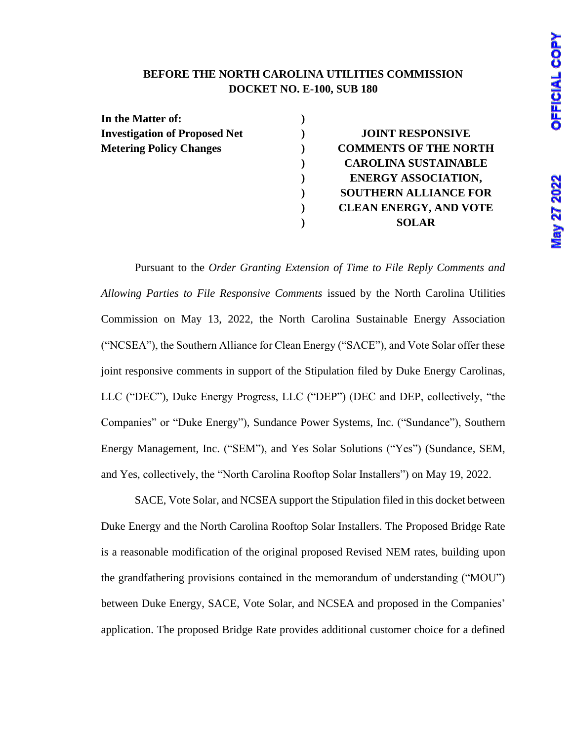### **Viay 27 2022**

#### **BEFORE THE NORTH CAROLINA UTILITIES COMMISSION DOCKET NO. E-100, SUB 180**

| In the Matter of:                    |                               |
|--------------------------------------|-------------------------------|
| <b>Investigation of Proposed Net</b> | <b>JOINT RESPONSIVE</b>       |
| <b>Metering Policy Changes</b>       | <b>COMMENTS OF THE NORTH</b>  |
|                                      | <b>CAROLINA SUSTAINABLE</b>   |
|                                      | <b>ENERGY ASSOCIATION,</b>    |
|                                      | <b>SOUTHERN ALLIANCE FOR</b>  |
|                                      | <b>CLEAN ENERGY, AND VOTE</b> |
|                                      | <b>SOLAR</b>                  |
|                                      |                               |

Pursuant to the *Order Granting Extension of Time to File Reply Comments and Allowing Parties to File Responsive Comments* issued by the North Carolina Utilities Commission on May 13, 2022, the North Carolina Sustainable Energy Association ("NCSEA"), the Southern Alliance for Clean Energy ("SACE"), and Vote Solar offer these joint responsive comments in support of the Stipulation filed by Duke Energy Carolinas, LLC ("DEC"), Duke Energy Progress, LLC ("DEP") (DEC and DEP, collectively, "the Companies" or "Duke Energy"), Sundance Power Systems, Inc. ("Sundance"), Southern Energy Management, Inc. ("SEM"), and Yes Solar Solutions ("Yes") (Sundance, SEM, and Yes, collectively, the "North Carolina Rooftop Solar Installers") on May 19, 2022.

SACE, Vote Solar, and NCSEA support the Stipulation filed in this docket between Duke Energy and the North Carolina Rooftop Solar Installers. The Proposed Bridge Rate is a reasonable modification of the original proposed Revised NEM rates, building upon the grandfathering provisions contained in the memorandum of understanding ("MOU") between Duke Energy, SACE, Vote Solar, and NCSEA and proposed in the Companies' application. The proposed Bridge Rate provides additional customer choice for a defined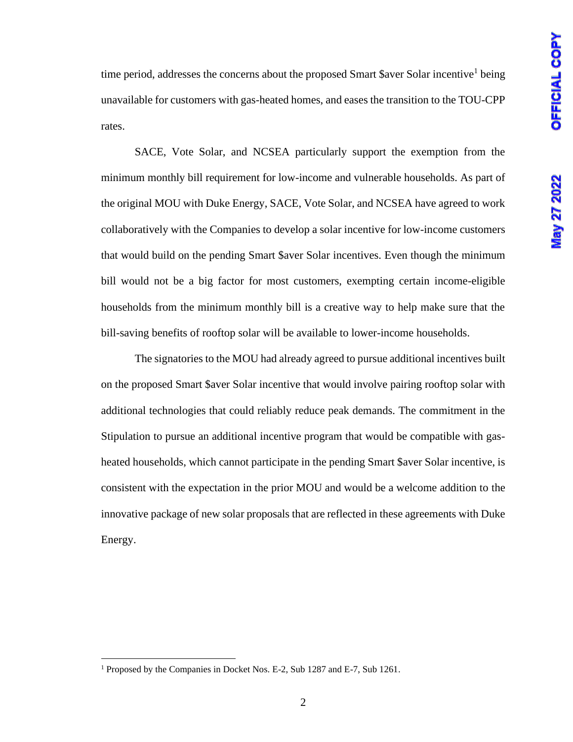time period, addresses the concerns about the proposed Smart \$aver Solar incentive<sup>1</sup> being unavailable for customers with gas-heated homes, and eases the transition to the TOU-CPP rates.

SACE, Vote Solar, and NCSEA particularly support the exemption from the minimum monthly bill requirement for low-income and vulnerable households. As part of the original MOU with Duke Energy, SACE, Vote Solar, and NCSEA have agreed to work collaboratively with the Companies to develop a solar incentive for low-income customers that would build on the pending Smart \$aver Solar incentives. Even though the minimum bill would not be a big factor for most customers, exempting certain income-eligible households from the minimum monthly bill is a creative way to help make sure that the bill-saving benefits of rooftop solar will be available to lower-income households.

The signatories to the MOU had already agreed to pursue additional incentives built on the proposed Smart \$aver Solar incentive that would involve pairing rooftop solar with additional technologies that could reliably reduce peak demands. The commitment in the Stipulation to pursue an additional incentive program that would be compatible with gasheated households, which cannot participate in the pending Smart \$aver Solar incentive, is consistent with the expectation in the prior MOU and would be a welcome addition to the innovative package of new solar proposals that are reflected in these agreements with Duke Energy.

<sup>&</sup>lt;sup>1</sup> Proposed by the Companies in Docket Nos. E-2, Sub 1287 and E-7, Sub 1261.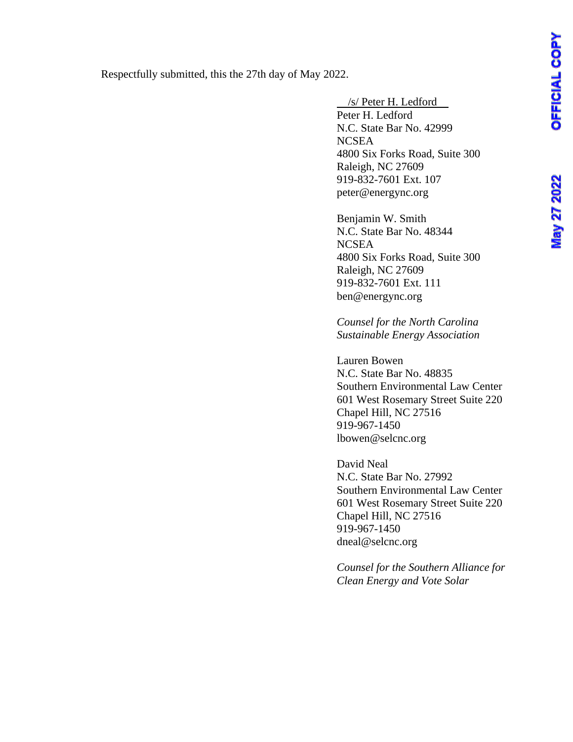Respectfully submitted, this the 27th day of May 2022.

 /s/ Peter H. Ledford Peter H. Ledford N.C. State Bar No. 42999 **NCSEA** 4800 Six Forks Road, Suite 300 Raleigh, NC 27609 919-832-7601 Ext. 107 peter@energync.org

Benjamin W. Smith N.C. State Bar No. 48344 **NCSEA** 4800 Six Forks Road, Suite 300 Raleigh, NC 27609 919-832-7601 Ext. 111 ben@energync.org

*Counsel for the North Carolina Sustainable Energy Association*

Lauren Bowen N.C. State Bar No. 48835 Southern Environmental Law Center 601 West Rosemary Street Suite 220 Chapel Hill, NC 27516 919-967-1450 lbowen@selcnc.org

David Neal N.C. State Bar No. 27992 Southern Environmental Law Center 601 West Rosemary Street Suite 220 Chapel Hill, NC 27516 919-967-1450 dneal@selcnc.org

*Counsel for the Southern Alliance for Clean Energy and Vote Solar*